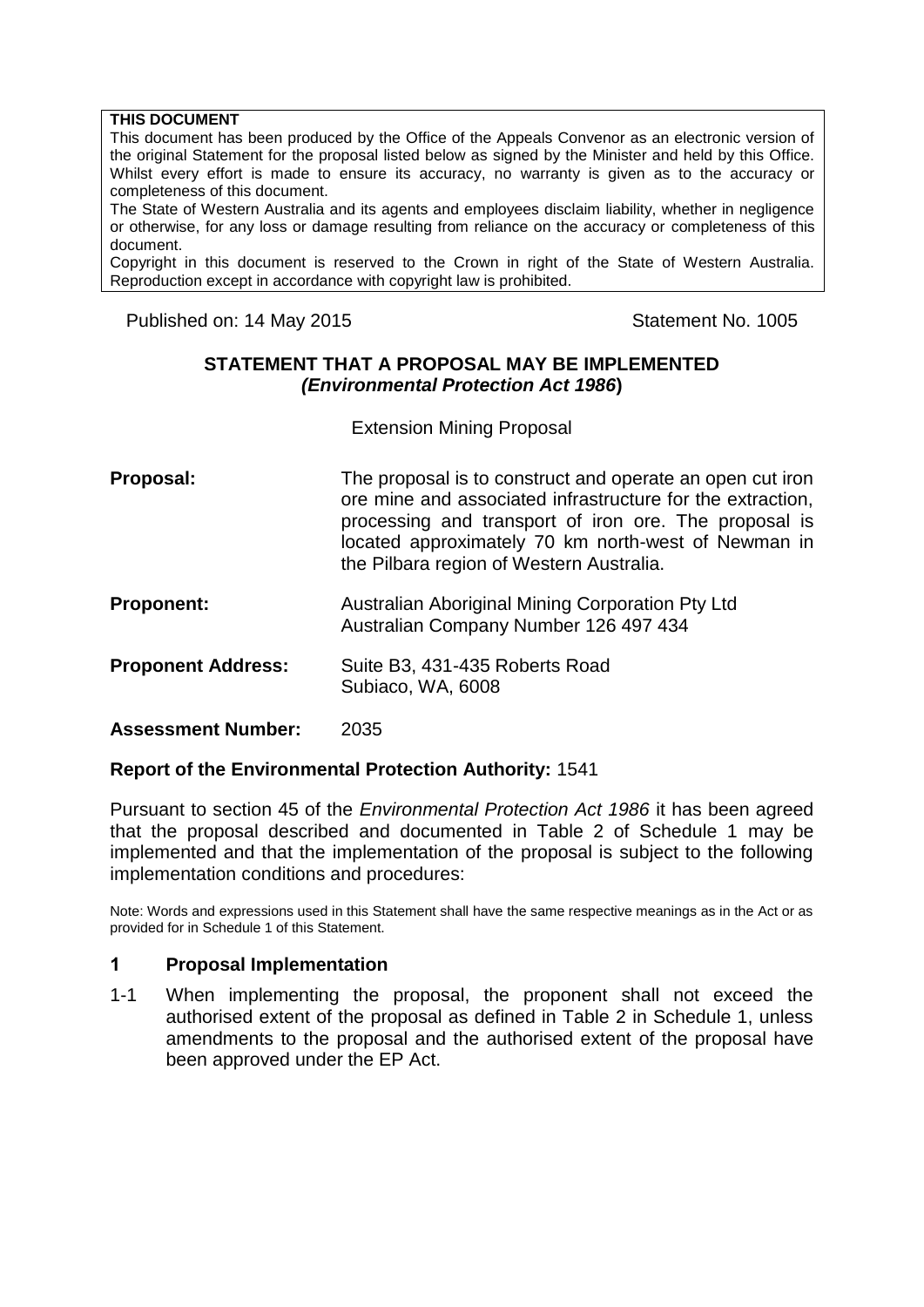#### **THIS DOCUMENT**

This document has been produced by the Office of the Appeals Convenor as an electronic version of the original Statement for the proposal listed below as signed by the Minister and held by this Office. Whilst every effort is made to ensure its accuracy, no warranty is given as to the accuracy or completeness of this document.

The State of Western Australia and its agents and employees disclaim liability, whether in negligence or otherwise, for any loss or damage resulting from reliance on the accuracy or completeness of this document.

Copyright in this document is reserved to the Crown in right of the State of Western Australia. Reproduction except in accordance with copyright law is prohibited.

Published on: 14 May 2015 Contract Contract Contract Contract Contract Contract Contract Contract Contract Contract Contract Contract Contract Contract Contract Contract Contract Contract Contract Contract Contract Contrac

#### **STATEMENT THAT A PROPOSAL MAY BE IMPLEMENTED** *(Environmental Protection Act 1986***)**

Extension Mining Proposal

- **Proposal:** The proposal is to construct and operate an open cut iron ore mine and associated infrastructure for the extraction, processing and transport of iron ore. The proposal is located approximately 70 km north-west of Newman in the Pilbara region of Western Australia.
- **Proponent:** Australian Aboriginal Mining Corporation Pty Ltd Australian Company Number 126 497 434
- **Proponent Address:** Suite B3, 431-435 Roberts Road Subiaco, WA, 6008

**Assessment Number:** 2035

#### **Report of the Environmental Protection Authority:** 1541

Pursuant to section 45 of the *Environmental Protection Act 1986* it has been agreed that the proposal described and documented in Table 2 of Schedule 1 may be implemented and that the implementation of the proposal is subject to the following implementation conditions and procedures:

Note: Words and expressions used in this Statement shall have the same respective meanings as in the Act or as provided for in Schedule 1 of this Statement.

#### **1 Proposal Implementation**

1-1 When implementing the proposal, the proponent shall not exceed the authorised extent of the proposal as defined in Table 2 in Schedule 1, unless amendments to the proposal and the authorised extent of the proposal have been approved under the EP Act.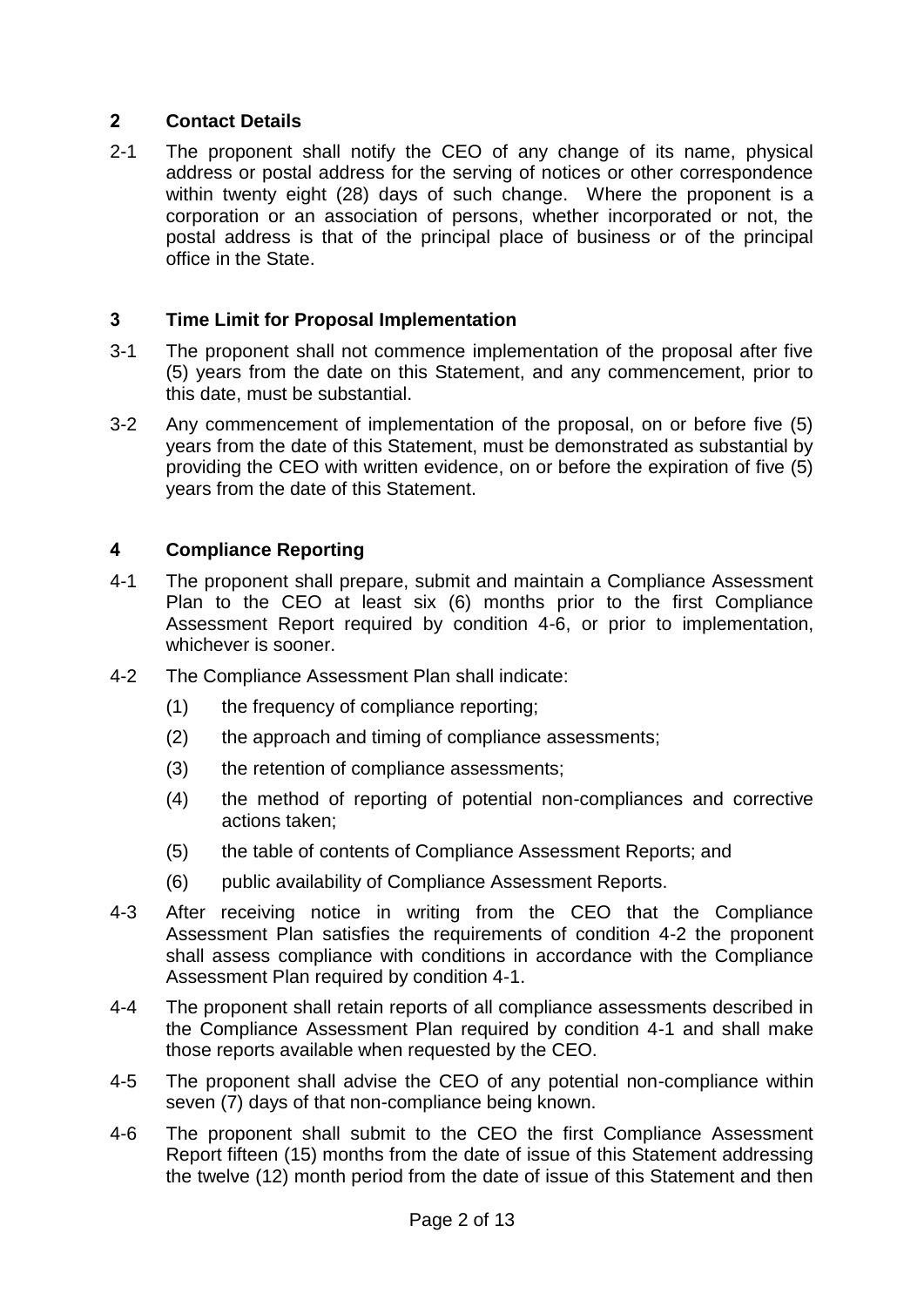## **2 Contact Details**

2-1 The proponent shall notify the CEO of any change of its name, physical address or postal address for the serving of notices or other correspondence within twenty eight (28) days of such change. Where the proponent is a corporation or an association of persons, whether incorporated or not, the postal address is that of the principal place of business or of the principal office in the State.

## **3 Time Limit for Proposal Implementation**

- 3-1 The proponent shall not commence implementation of the proposal after five (5) years from the date on this Statement, and any commencement, prior to this date, must be substantial.
- 3-2 Any commencement of implementation of the proposal, on or before five (5) years from the date of this Statement, must be demonstrated as substantial by providing the CEO with written evidence, on or before the expiration of five (5) years from the date of this Statement.

## **4 Compliance Reporting**

- 4-1 The proponent shall prepare, submit and maintain a Compliance Assessment Plan to the CEO at least six (6) months prior to the first Compliance Assessment Report required by condition 4-6, or prior to implementation, whichever is sooner.
- 4-2 The Compliance Assessment Plan shall indicate:
	- (1) the frequency of compliance reporting;
	- (2) the approach and timing of compliance assessments;
	- (3) the retention of compliance assessments;
	- (4) the method of reporting of potential non-compliances and corrective actions taken;
	- (5) the table of contents of Compliance Assessment Reports; and
	- (6) public availability of Compliance Assessment Reports.
- 4-3 After receiving notice in writing from the CEO that the Compliance Assessment Plan satisfies the requirements of condition 4-2 the proponent shall assess compliance with conditions in accordance with the Compliance Assessment Plan required by condition 4-1.
- 4-4 The proponent shall retain reports of all compliance assessments described in the Compliance Assessment Plan required by condition 4-1 and shall make those reports available when requested by the CEO.
- 4-5 The proponent shall advise the CEO of any potential non-compliance within seven (7) days of that non-compliance being known.
- 4-6 The proponent shall submit to the CEO the first Compliance Assessment Report fifteen (15) months from the date of issue of this Statement addressing the twelve (12) month period from the date of issue of this Statement and then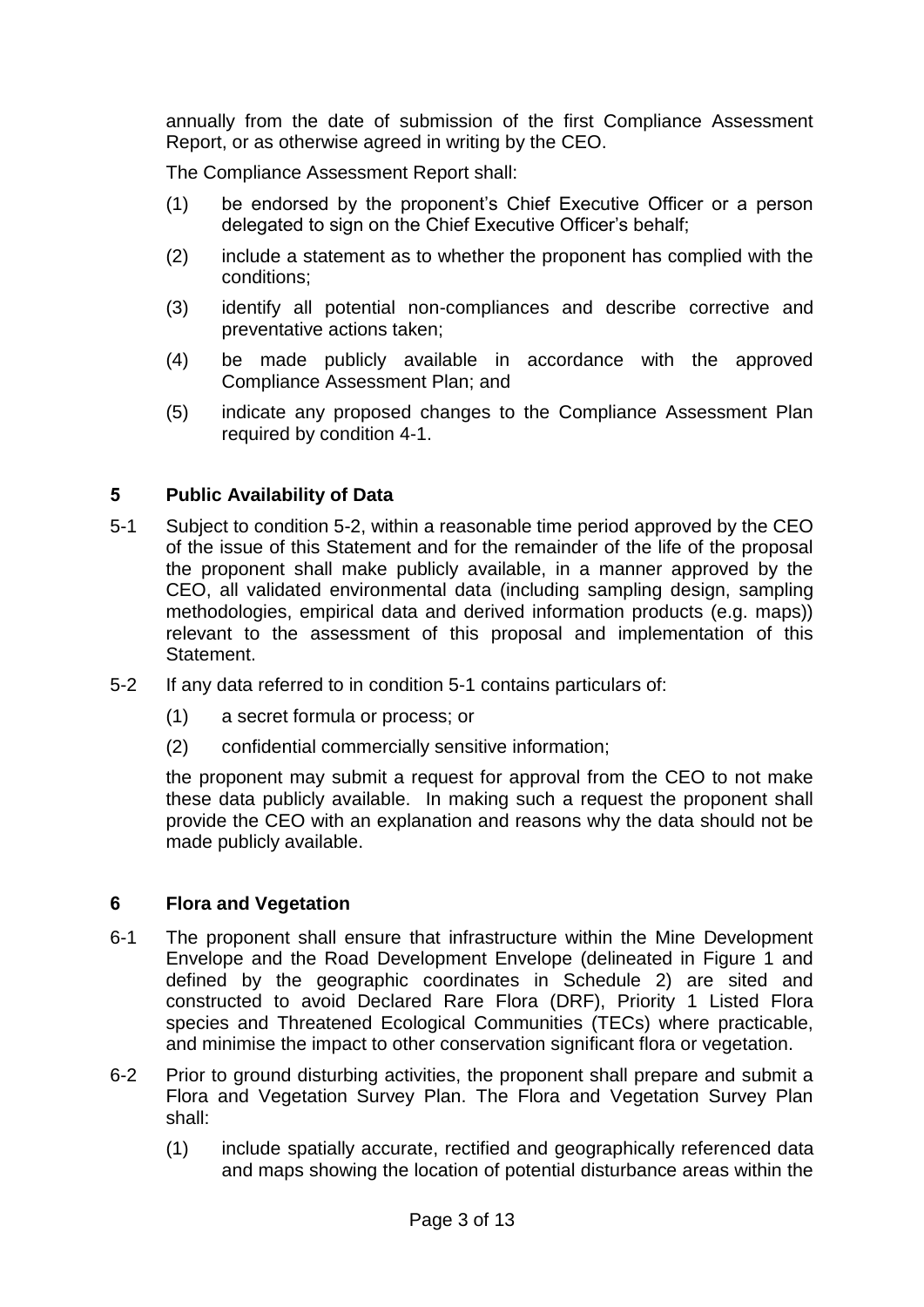annually from the date of submission of the first Compliance Assessment Report, or as otherwise agreed in writing by the CEO.

The Compliance Assessment Report shall:

- (1) be endorsed by the proponent's Chief Executive Officer or a person delegated to sign on the Chief Executive Officer's behalf;
- (2) include a statement as to whether the proponent has complied with the conditions;
- (3) identify all potential non-compliances and describe corrective and preventative actions taken;
- (4) be made publicly available in accordance with the approved Compliance Assessment Plan; and
- (5) indicate any proposed changes to the Compliance Assessment Plan required by condition 4-1.

### **5 Public Availability of Data**

- 5-1 Subject to condition 5-2, within a reasonable time period approved by the CEO of the issue of this Statement and for the remainder of the life of the proposal the proponent shall make publicly available, in a manner approved by the CEO, all validated environmental data (including sampling design, sampling methodologies, empirical data and derived information products (e.g. maps)) relevant to the assessment of this proposal and implementation of this Statement.
- 5-2 If any data referred to in condition 5-1 contains particulars of:
	- (1) a secret formula or process; or
	- (2) confidential commercially sensitive information;

the proponent may submit a request for approval from the CEO to not make these data publicly available. In making such a request the proponent shall provide the CEO with an explanation and reasons why the data should not be made publicly available.

#### **6 Flora and Vegetation**

- 6-1 The proponent shall ensure that infrastructure within the Mine Development Envelope and the Road Development Envelope (delineated in Figure 1 and defined by the geographic coordinates in Schedule 2) are sited and constructed to avoid Declared Rare Flora (DRF), Priority 1 Listed Flora species and Threatened Ecological Communities (TECs) where practicable, and minimise the impact to other conservation significant flora or vegetation.
- 6-2 Prior to ground disturbing activities, the proponent shall prepare and submit a Flora and Vegetation Survey Plan. The Flora and Vegetation Survey Plan shall:
	- (1) include spatially accurate, rectified and geographically referenced data and maps showing the location of potential disturbance areas within the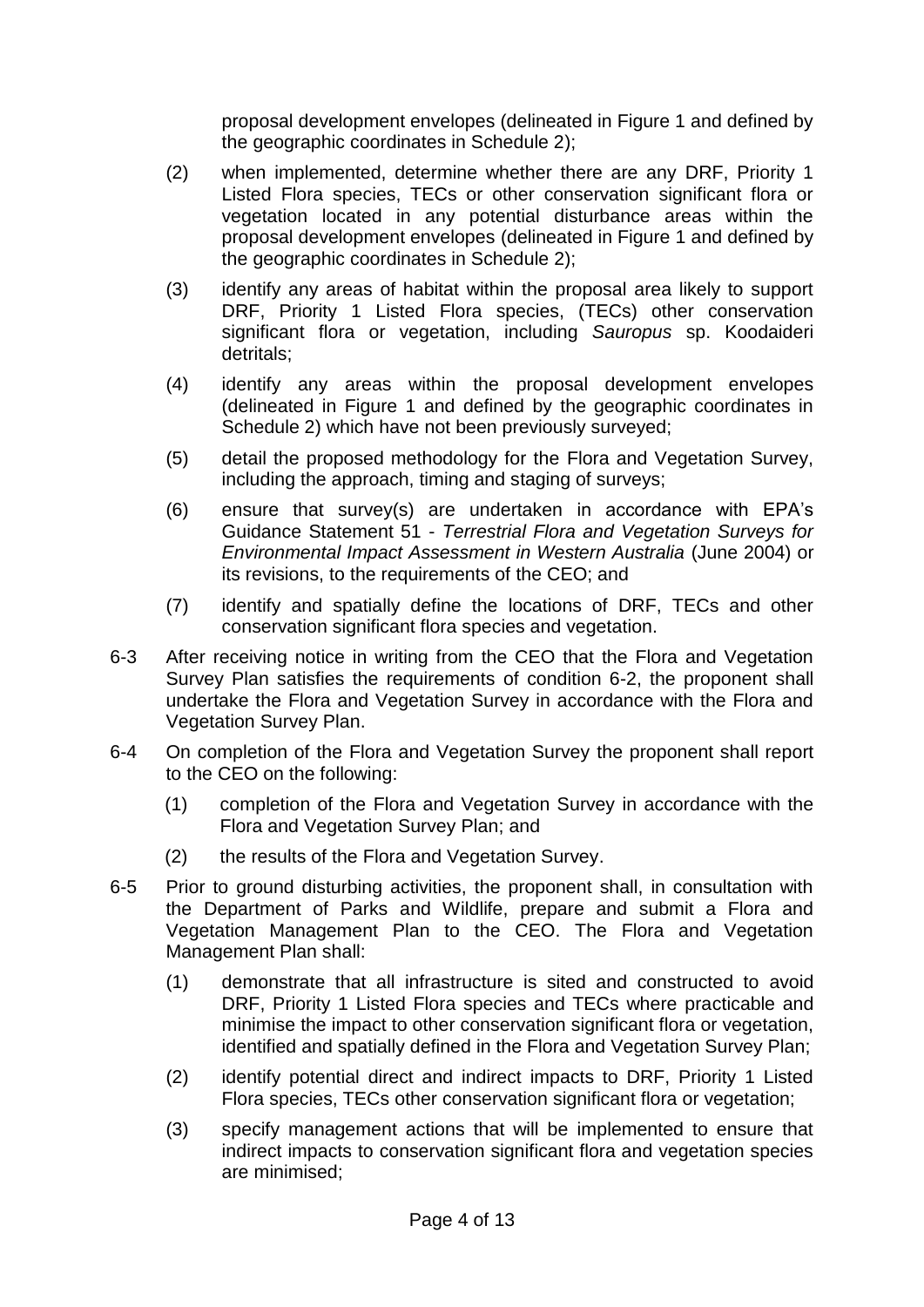proposal development envelopes (delineated in Figure 1 and defined by the geographic coordinates in Schedule 2);

- (2) when implemented, determine whether there are any DRF, Priority 1 Listed Flora species, TECs or other conservation significant flora or vegetation located in any potential disturbance areas within the proposal development envelopes (delineated in Figure 1 and defined by the geographic coordinates in Schedule 2);
- (3) identify any areas of habitat within the proposal area likely to support DRF, Priority 1 Listed Flora species, (TECs) other conservation significant flora or vegetation, including *Sauropus* sp. Koodaideri detritals;
- (4) identify any areas within the proposal development envelopes (delineated in Figure 1 and defined by the geographic coordinates in Schedule 2) which have not been previously surveyed;
- (5) detail the proposed methodology for the Flora and Vegetation Survey, including the approach, timing and staging of surveys;
- (6) ensure that survey(s) are undertaken in accordance with EPA's Guidance Statement 51 - *Terrestrial Flora and Vegetation Surveys for Environmental Impact Assessment in Western Australia* (June 2004) or its revisions, to the requirements of the CEO; and
- (7) identify and spatially define the locations of DRF, TECs and other conservation significant flora species and vegetation.
- 6-3 After receiving notice in writing from the CEO that the Flora and Vegetation Survey Plan satisfies the requirements of condition 6-2, the proponent shall undertake the Flora and Vegetation Survey in accordance with the Flora and Vegetation Survey Plan.
- 6-4 On completion of the Flora and Vegetation Survey the proponent shall report to the CEO on the following:
	- (1) completion of the Flora and Vegetation Survey in accordance with the Flora and Vegetation Survey Plan; and
	- (2) the results of the Flora and Vegetation Survey.
- 6-5 Prior to ground disturbing activities, the proponent shall, in consultation with the Department of Parks and Wildlife, prepare and submit a Flora and Vegetation Management Plan to the CEO. The Flora and Vegetation Management Plan shall:
	- (1) demonstrate that all infrastructure is sited and constructed to avoid DRF, Priority 1 Listed Flora species and TECs where practicable and minimise the impact to other conservation significant flora or vegetation, identified and spatially defined in the Flora and Vegetation Survey Plan;
	- (2) identify potential direct and indirect impacts to DRF, Priority 1 Listed Flora species, TECs other conservation significant flora or vegetation;
	- (3) specify management actions that will be implemented to ensure that indirect impacts to conservation significant flora and vegetation species are minimised;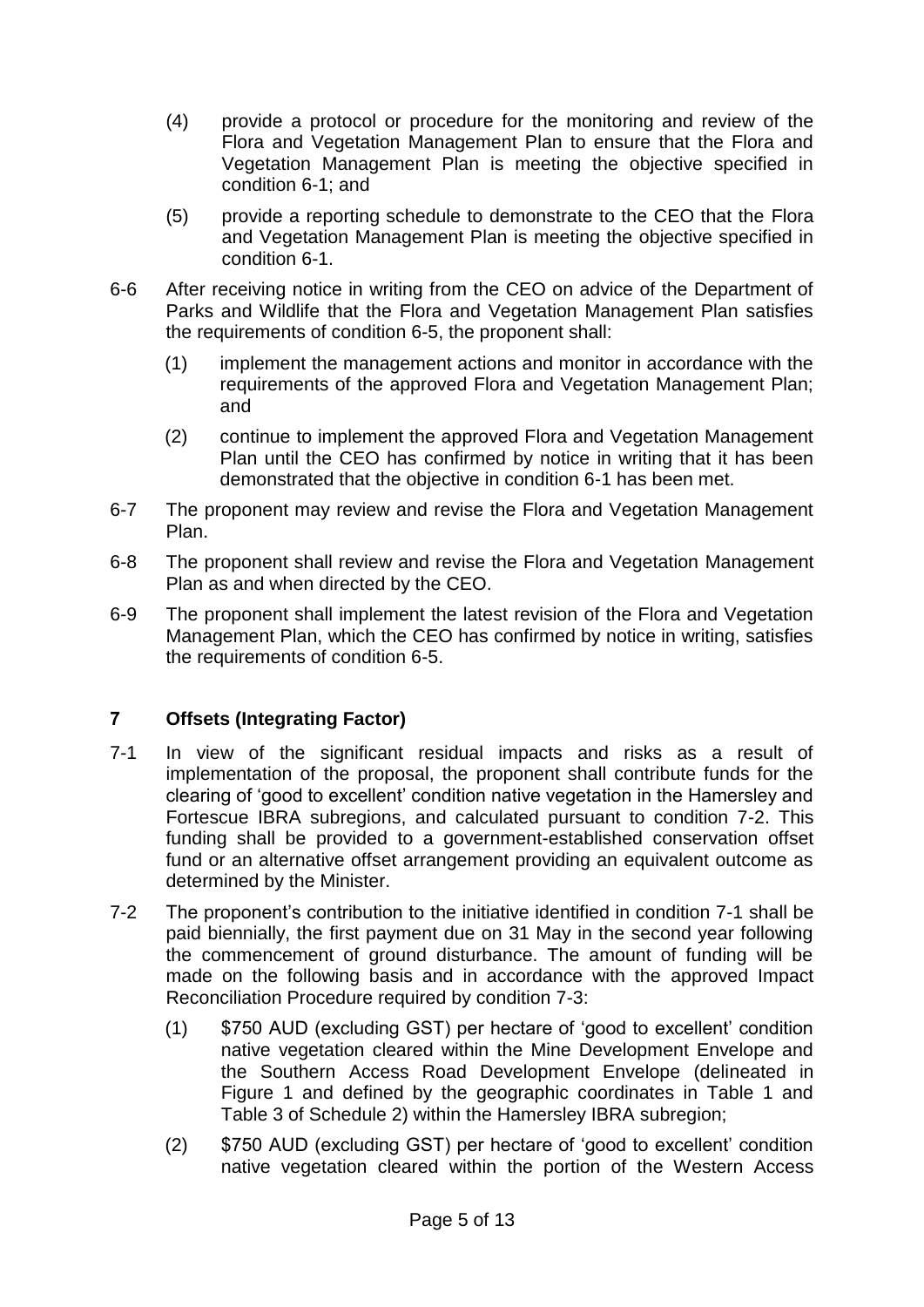- (4) provide a protocol or procedure for the monitoring and review of the Flora and Vegetation Management Plan to ensure that the Flora and Vegetation Management Plan is meeting the objective specified in condition 6-1; and
- (5) provide a reporting schedule to demonstrate to the CEO that the Flora and Vegetation Management Plan is meeting the objective specified in condition 6-1.
- 6-6 After receiving notice in writing from the CEO on advice of the Department of Parks and Wildlife that the Flora and Vegetation Management Plan satisfies the requirements of condition 6-5, the proponent shall:
	- (1) implement the management actions and monitor in accordance with the requirements of the approved Flora and Vegetation Management Plan; and
	- (2) continue to implement the approved Flora and Vegetation Management Plan until the CEO has confirmed by notice in writing that it has been demonstrated that the objective in condition 6-1 has been met.
- 6-7 The proponent may review and revise the Flora and Vegetation Management Plan.
- 6-8 The proponent shall review and revise the Flora and Vegetation Management Plan as and when directed by the CEO.
- 6-9 The proponent shall implement the latest revision of the Flora and Vegetation Management Plan, which the CEO has confirmed by notice in writing, satisfies the requirements of condition 6-5.

### **7 Offsets (Integrating Factor)**

- 7-1 In view of the significant residual impacts and risks as a result of implementation of the proposal, the proponent shall contribute funds for the clearing of 'good to excellent' condition native vegetation in the Hamersley and Fortescue IBRA subregions, and calculated pursuant to condition 7-2. This funding shall be provided to a government-established conservation offset fund or an alternative offset arrangement providing an equivalent outcome as determined by the Minister.
- 7-2 The proponent's contribution to the initiative identified in condition 7-1 shall be paid biennially, the first payment due on 31 May in the second year following the commencement of ground disturbance. The amount of funding will be made on the following basis and in accordance with the approved Impact Reconciliation Procedure required by condition 7-3:
	- (1) \$750 AUD (excluding GST) per hectare of 'good to excellent' condition native vegetation cleared within the Mine Development Envelope and the Southern Access Road Development Envelope (delineated in Figure 1 and defined by the geographic coordinates in Table 1 and Table 3 of Schedule 2) within the Hamersley IBRA subregion;
	- (2) \$750 AUD (excluding GST) per hectare of 'good to excellent' condition native vegetation cleared within the portion of the Western Access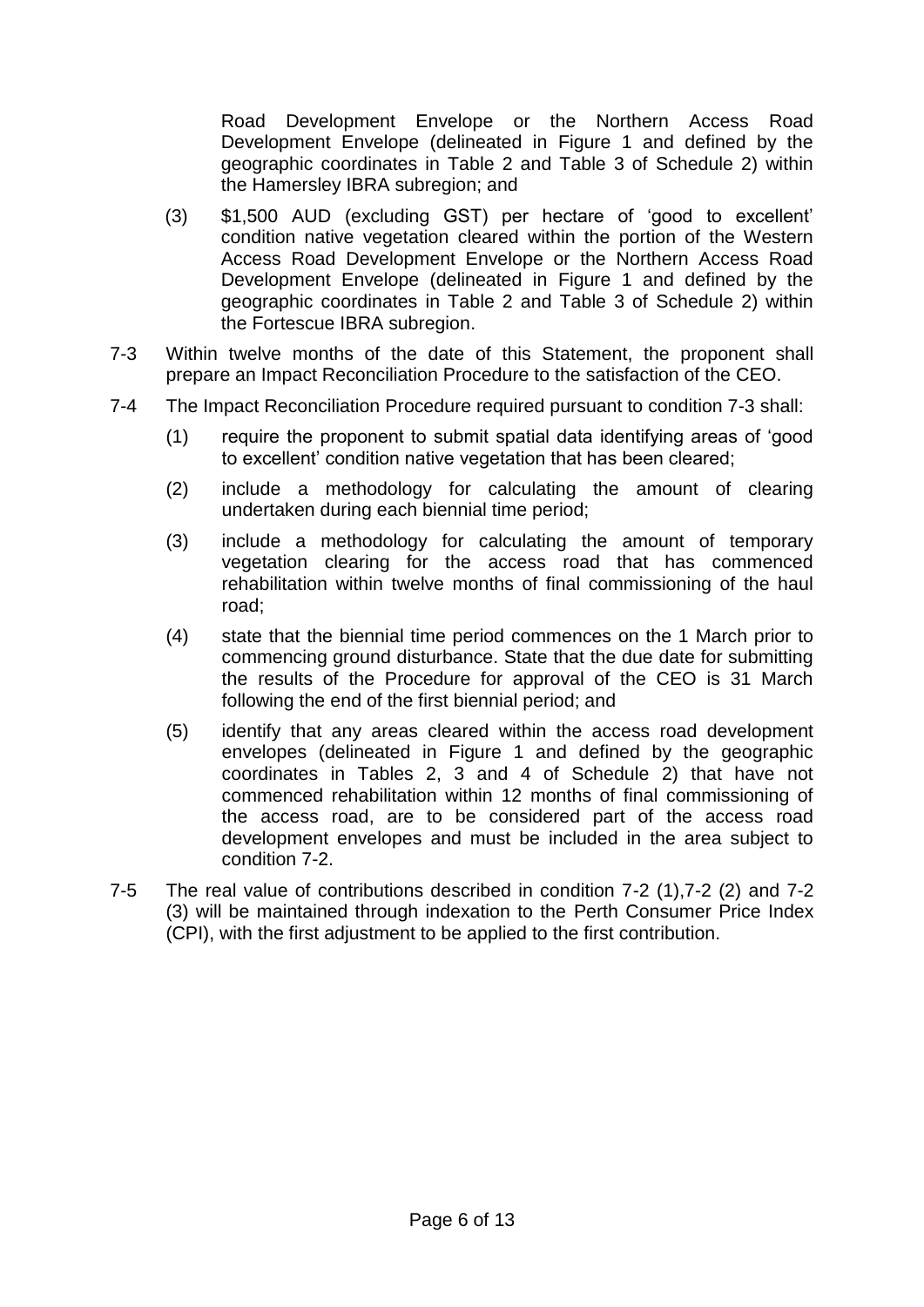Road Development Envelope or the Northern Access Road Development Envelope (delineated in Figure 1 and defined by the geographic coordinates in Table 2 and Table 3 of Schedule 2) within the Hamersley IBRA subregion; and

- (3) \$1,500 AUD (excluding GST) per hectare of 'good to excellent' condition native vegetation cleared within the portion of the Western Access Road Development Envelope or the Northern Access Road Development Envelope (delineated in Figure 1 and defined by the geographic coordinates in Table 2 and Table 3 of Schedule 2) within the Fortescue IBRA subregion.
- 7-3 Within twelve months of the date of this Statement, the proponent shall prepare an Impact Reconciliation Procedure to the satisfaction of the CEO.
- 7-4 The Impact Reconciliation Procedure required pursuant to condition 7-3 shall:
	- (1) require the proponent to submit spatial data identifying areas of 'good to excellent' condition native vegetation that has been cleared;
	- (2) include a methodology for calculating the amount of clearing undertaken during each biennial time period;
	- (3) include a methodology for calculating the amount of temporary vegetation clearing for the access road that has commenced rehabilitation within twelve months of final commissioning of the haul road;
	- (4) state that the biennial time period commences on the 1 March prior to commencing ground disturbance. State that the due date for submitting the results of the Procedure for approval of the CEO is 31 March following the end of the first biennial period; and
	- (5) identify that any areas cleared within the access road development envelopes (delineated in Figure 1 and defined by the geographic coordinates in Tables 2, 3 and 4 of Schedule 2) that have not commenced rehabilitation within 12 months of final commissioning of the access road, are to be considered part of the access road development envelopes and must be included in the area subject to condition 7-2.
- 7-5 The real value of contributions described in condition 7-2 (1),7-2 (2) and 7-2 (3) will be maintained through indexation to the Perth Consumer Price Index (CPI), with the first adjustment to be applied to the first contribution.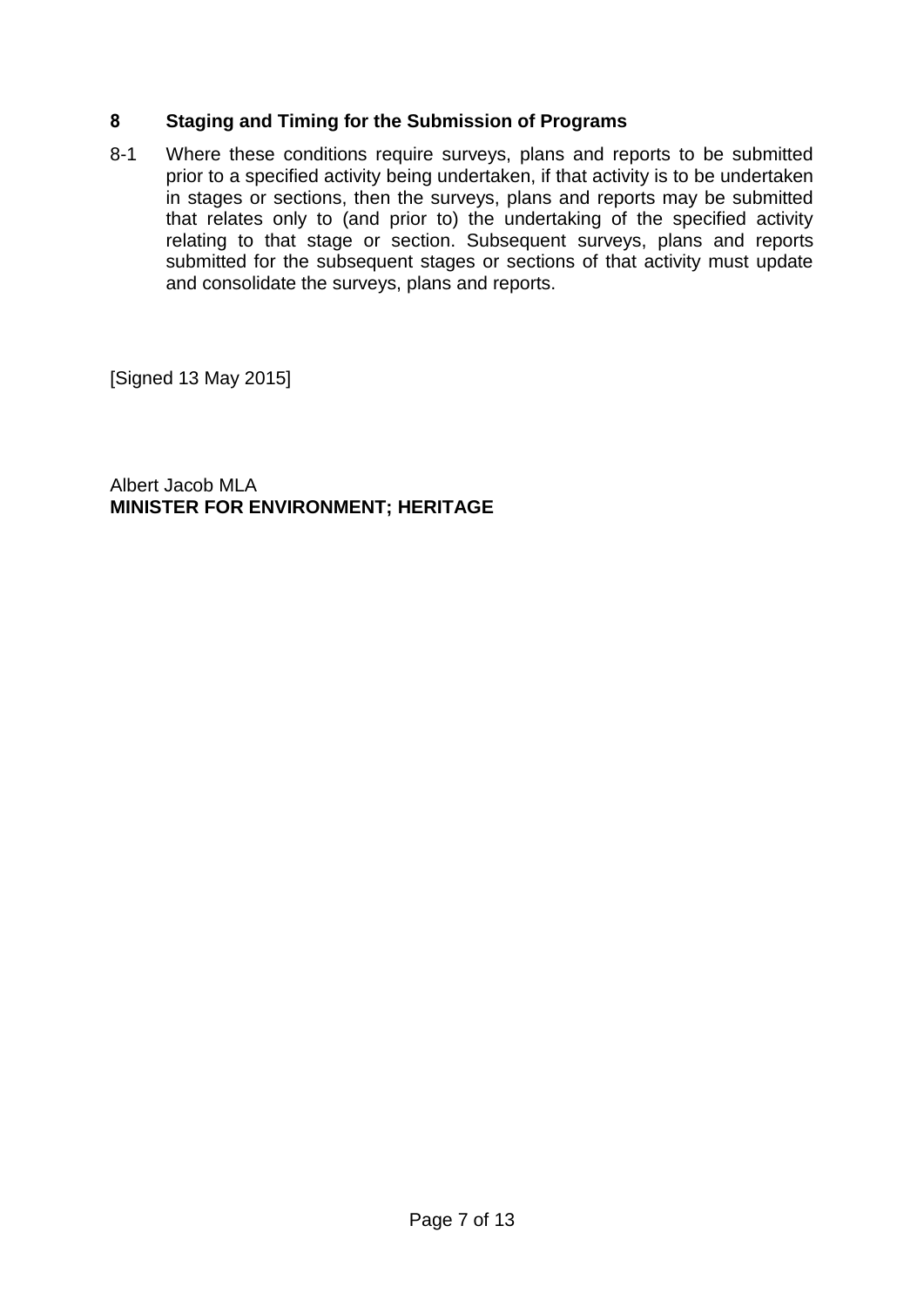### **8 Staging and Timing for the Submission of Programs**

8-1 Where these conditions require surveys, plans and reports to be submitted prior to a specified activity being undertaken, if that activity is to be undertaken in stages or sections, then the surveys, plans and reports may be submitted that relates only to (and prior to) the undertaking of the specified activity relating to that stage or section. Subsequent surveys, plans and reports submitted for the subsequent stages or sections of that activity must update and consolidate the surveys, plans and reports.

[Signed 13 May 2015]

Albert Jacob MLA **MINISTER FOR ENVIRONMENT; HERITAGE**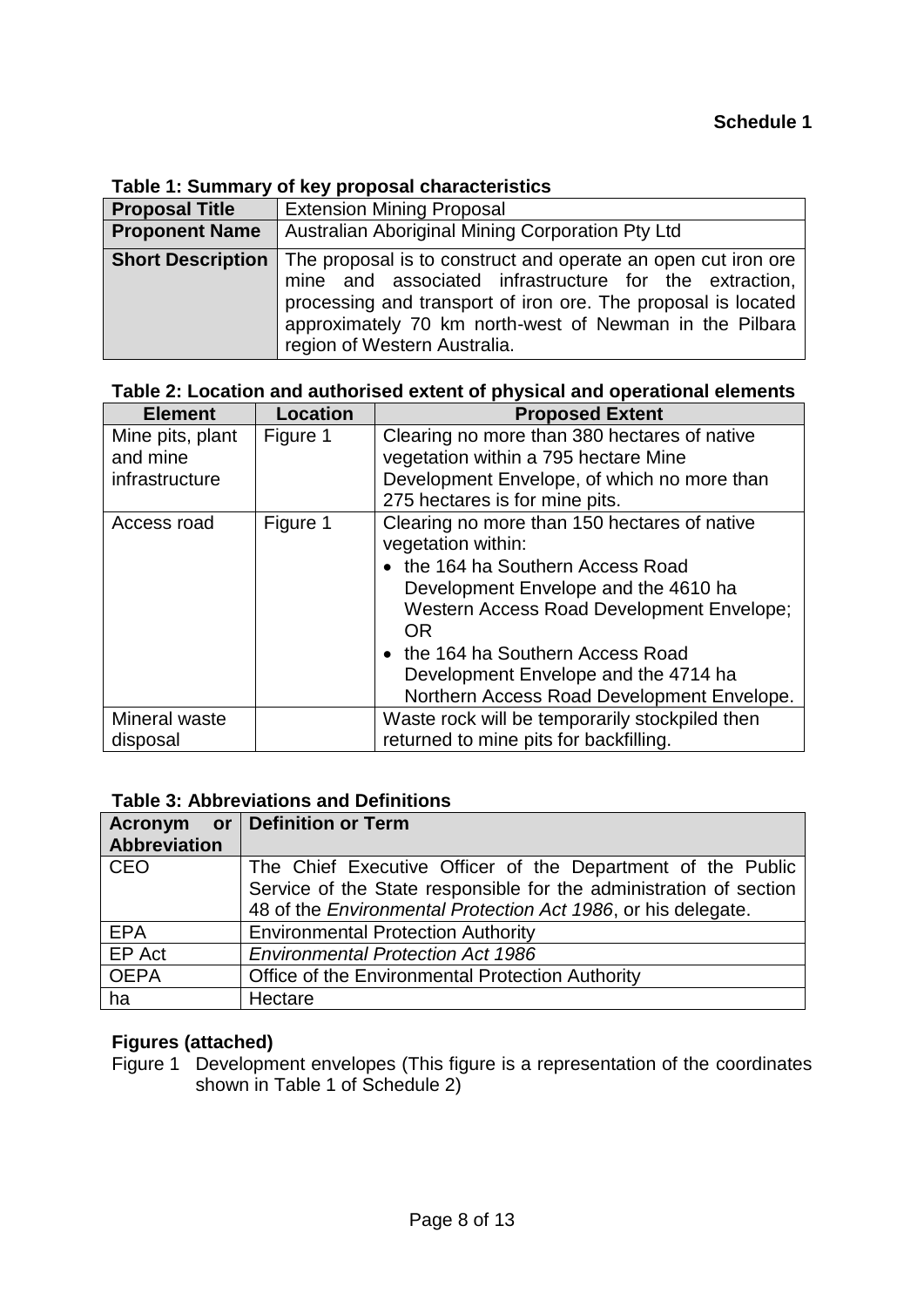### **Table 1: Summary of key proposal characteristics**

| <b>Proposal Title</b>    | <b>Extension Mining Proposal</b>                                                                                                                                                                                                                                                    |  |
|--------------------------|-------------------------------------------------------------------------------------------------------------------------------------------------------------------------------------------------------------------------------------------------------------------------------------|--|
| <b>Proponent Name</b>    | Australian Aboriginal Mining Corporation Pty Ltd                                                                                                                                                                                                                                    |  |
| <b>Short Description</b> | The proposal is to construct and operate an open cut iron ore<br>mine and associated infrastructure for the extraction,<br>processing and transport of iron ore. The proposal is located<br>approximately 70 km north-west of Newman in the Pilbara<br>region of Western Australia. |  |

# **Table 2: Location and authorised extent of physical and operational elements**

| <b>Element</b>   | <b>Location</b> | <b>Proposed Extent</b>                                 |
|------------------|-----------------|--------------------------------------------------------|
| Mine pits, plant | Figure 1        | Clearing no more than 380 hectares of native           |
| and mine         |                 | vegetation within a 795 hectare Mine                   |
| infrastructure   |                 | Development Envelope, of which no more than            |
|                  |                 | 275 hectares is for mine pits.                         |
| Access road      | Figure 1        | Clearing no more than 150 hectares of native           |
|                  |                 | vegetation within:                                     |
|                  |                 | • the 164 ha Southern Access Road                      |
|                  |                 | Development Envelope and the 4610 ha                   |
|                  |                 | Western Access Road Development Envelope;<br><b>OR</b> |
|                  |                 | • the 164 ha Southern Access Road                      |
|                  |                 | Development Envelope and the 4714 ha                   |
|                  |                 | Northern Access Road Development Envelope.             |
| Mineral waste    |                 | Waste rock will be temporarily stockpiled then         |
| disposal         |                 | returned to mine pits for backfilling.                 |

### **Table 3: Abbreviations and Definitions**

|                     | Acronym or Definition or Term                                      |
|---------------------|--------------------------------------------------------------------|
| <b>Abbreviation</b> |                                                                    |
| <b>CEO</b>          | The Chief Executive Officer of the Department of the Public        |
|                     | Service of the State responsible for the administration of section |
|                     | 48 of the Environmental Protection Act 1986, or his delegate.      |
| <b>EPA</b>          | <b>Environmental Protection Authority</b>                          |
| EP Act              | <b>Environmental Protection Act 1986</b>                           |
| <b>OEPA</b>         | Office of the Environmental Protection Authority                   |
| ha                  | Hectare                                                            |

### **Figures (attached)**

Figure 1 Development envelopes (This figure is a representation of the coordinates shown in Table 1 of Schedule 2)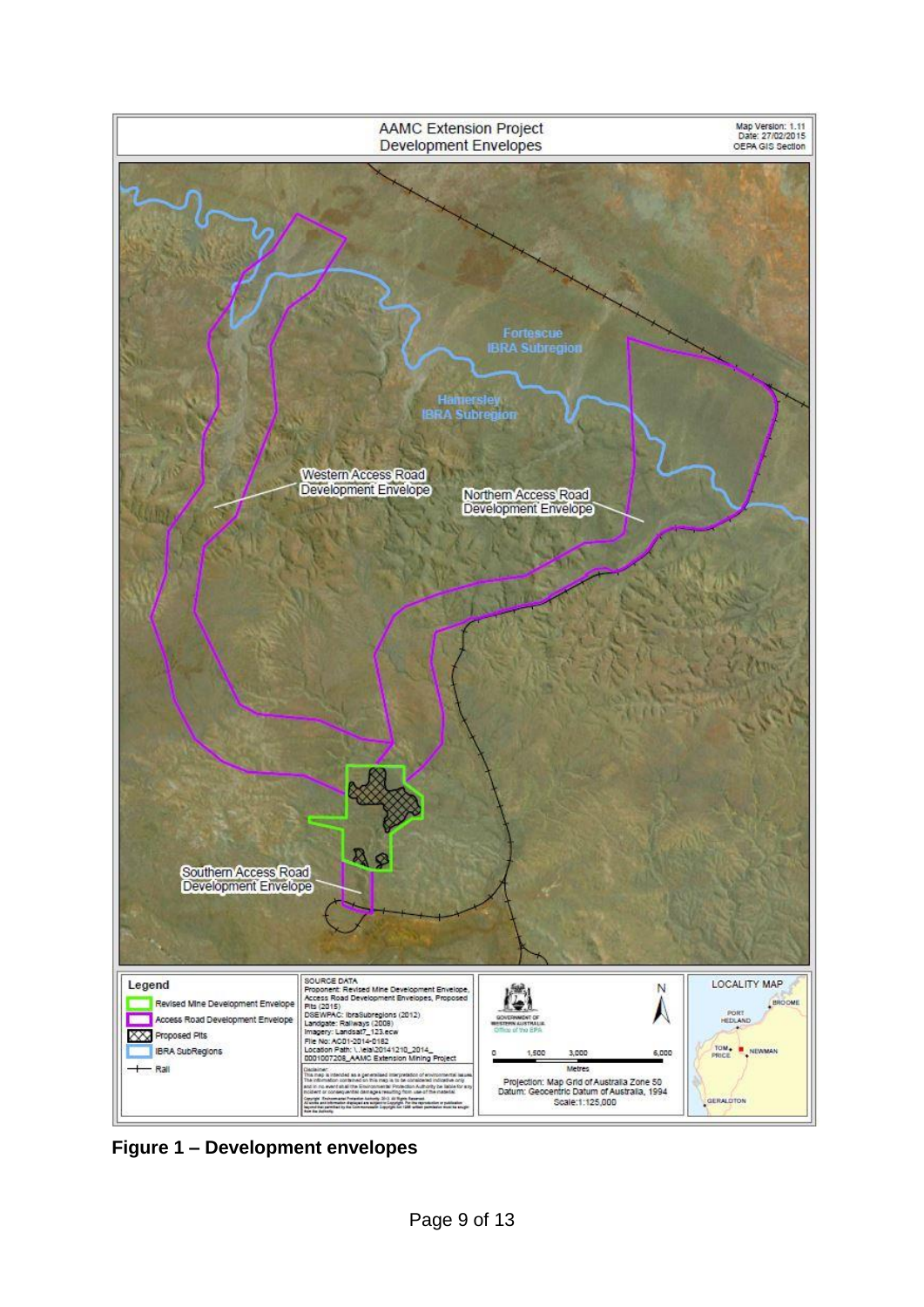

**Figure 1 – Development envelopes**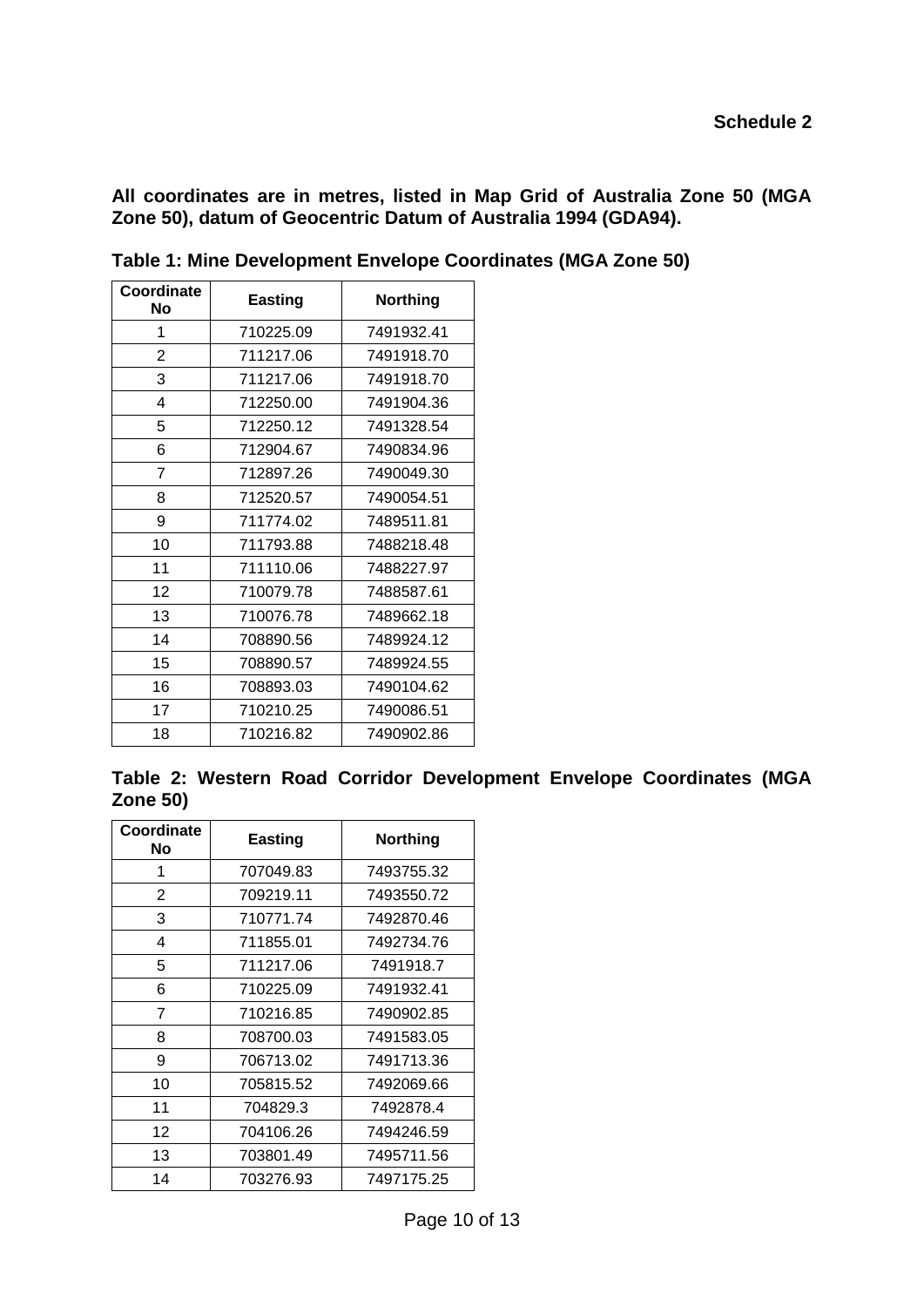**All coordinates are in metres, listed in Map Grid of Australia Zone 50 (MGA Zone 50), datum of Geocentric Datum of Australia 1994 (GDA94).**

| Coordinate<br>Νo | <b>Easting</b> | <b>Northing</b> |
|------------------|----------------|-----------------|
| 1                | 710225.09      | 7491932.41      |
| 2                | 711217.06      | 7491918.70      |
| 3                | 711217.06      | 7491918.70      |
| 4                | 712250.00      | 7491904.36      |
| 5                | 712250.12      | 7491328.54      |
| 6                | 712904.67      | 7490834.96      |
| 7                | 712897.26      | 7490049.30      |
| 8                | 712520.57      | 7490054.51      |
| 9                | 711774.02      | 7489511.81      |
| 10               | 711793.88      | 7488218.48      |
| 11               | 711110.06      | 7488227.97      |
| 12               | 710079.78      | 7488587.61      |
| 13               | 710076.78      | 7489662.18      |
| 14               | 708890.56      | 7489924.12      |
| 15               | 708890.57      | 7489924.55      |
| 16               | 708893.03      | 7490104.62      |
| 17               | 710210.25      | 7490086.51      |
| 18               | 710216.82      | 7490902.86      |

**Table 1: Mine Development Envelope Coordinates (MGA Zone 50)**

|                 |  |  | Table 2: Western Road Corridor Development Envelope Coordinates (MGA |  |  |
|-----------------|--|--|----------------------------------------------------------------------|--|--|
| <b>Zone 50)</b> |  |  |                                                                      |  |  |

| Coordinate<br>No | <b>Easting</b> | <b>Northing</b> |
|------------------|----------------|-----------------|
| 1                | 707049.83      | 7493755.32      |
| 2                | 709219.11      | 7493550.72      |
| 3                | 710771.74      | 7492870.46      |
| 4                | 711855.01      | 7492734.76      |
| 5                | 711217.06      | 7491918.7       |
| 6                | 710225.09      | 7491932.41      |
| 7                | 710216.85      | 7490902.85      |
| 8                | 708700.03      | 7491583.05      |
| 9                | 706713.02      | 7491713.36      |
| 10               | 705815.52      | 7492069.66      |
| 11               | 704829.3       | 7492878.4       |
| 12               | 704106.26      | 7494246.59      |
| 13               | 703801.49      | 7495711.56      |
| 14               | 703276.93      | 7497175.25      |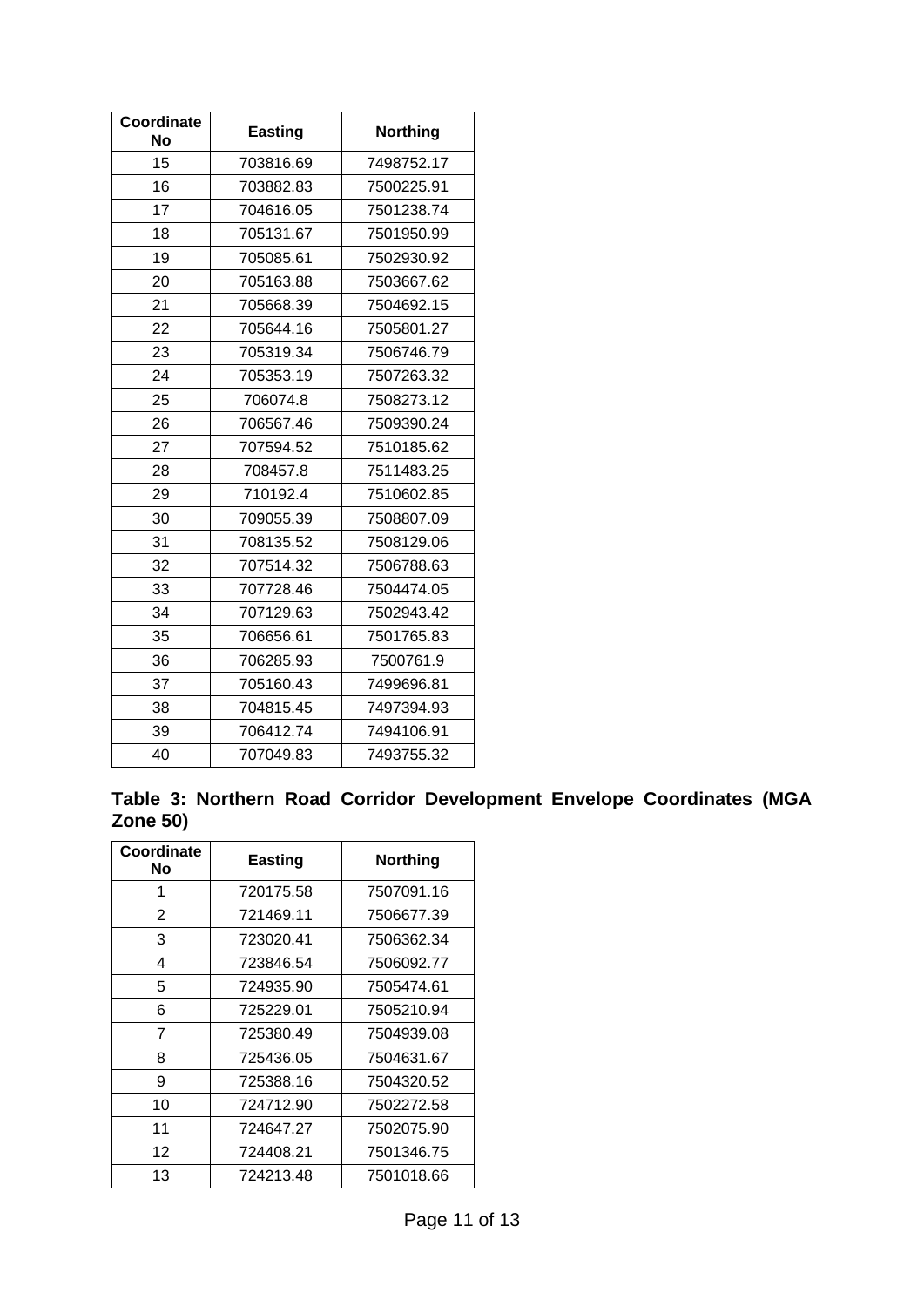| Coordinate<br><b>No</b> | <b>Easting</b> | <b>Northing</b> |
|-------------------------|----------------|-----------------|
| 15                      | 703816.69      | 7498752.17      |
| 16                      | 703882.83      | 7500225.91      |
| 17                      | 704616.05      | 7501238.74      |
| 18                      | 705131.67      | 7501950.99      |
| 19                      | 705085.61      | 7502930.92      |
| 20                      | 705163.88      | 7503667.62      |
| 21                      | 705668.39      | 7504692.15      |
| 22                      | 705644.16      | 7505801.27      |
| 23                      | 705319.34      | 7506746.79      |
| 24                      | 705353.19      | 7507263.32      |
| 25                      | 706074.8       | 7508273.12      |
| 26                      | 706567.46      | 7509390.24      |
| 27                      | 707594.52      | 7510185.62      |
| 28                      | 708457.8       | 7511483.25      |
| 29                      | 710192.4       | 7510602.85      |
| 30                      | 709055.39      | 7508807.09      |
| 31                      | 708135.52      | 7508129.06      |
| 32                      | 707514.32      | 7506788.63      |
| 33                      | 707728.46      | 7504474.05      |
| 34                      | 707129.63      | 7502943.42      |
| 35                      | 706656.61      | 7501765.83      |
| 36                      | 706285.93      | 7500761.9       |
| 37                      | 705160.43      | 7499696.81      |
| 38                      | 704815.45      | 7497394.93      |
| 39                      | 706412.74      | 7494106.91      |
| 40                      | 707049.83      | 7493755.32      |

**Table 3: Northern Road Corridor Development Envelope Coordinates (MGA Zone 50)**

| Coordinate<br>No | Easting   | Northing   |
|------------------|-----------|------------|
| 1                | 720175.58 | 7507091.16 |
| 2                | 721469.11 | 7506677.39 |
| 3                | 723020.41 | 7506362.34 |
| 4                | 723846.54 | 7506092.77 |
| 5                | 724935.90 | 7505474.61 |
| 6                | 725229.01 | 7505210.94 |
| 7                | 725380.49 | 7504939.08 |
| 8                | 725436.05 | 7504631.67 |
| 9                | 725388.16 | 7504320.52 |
| 10               | 724712.90 | 7502272.58 |
| 11               | 724647.27 | 7502075.90 |
| 12               | 724408.21 | 7501346.75 |
| 13               | 724213.48 | 7501018.66 |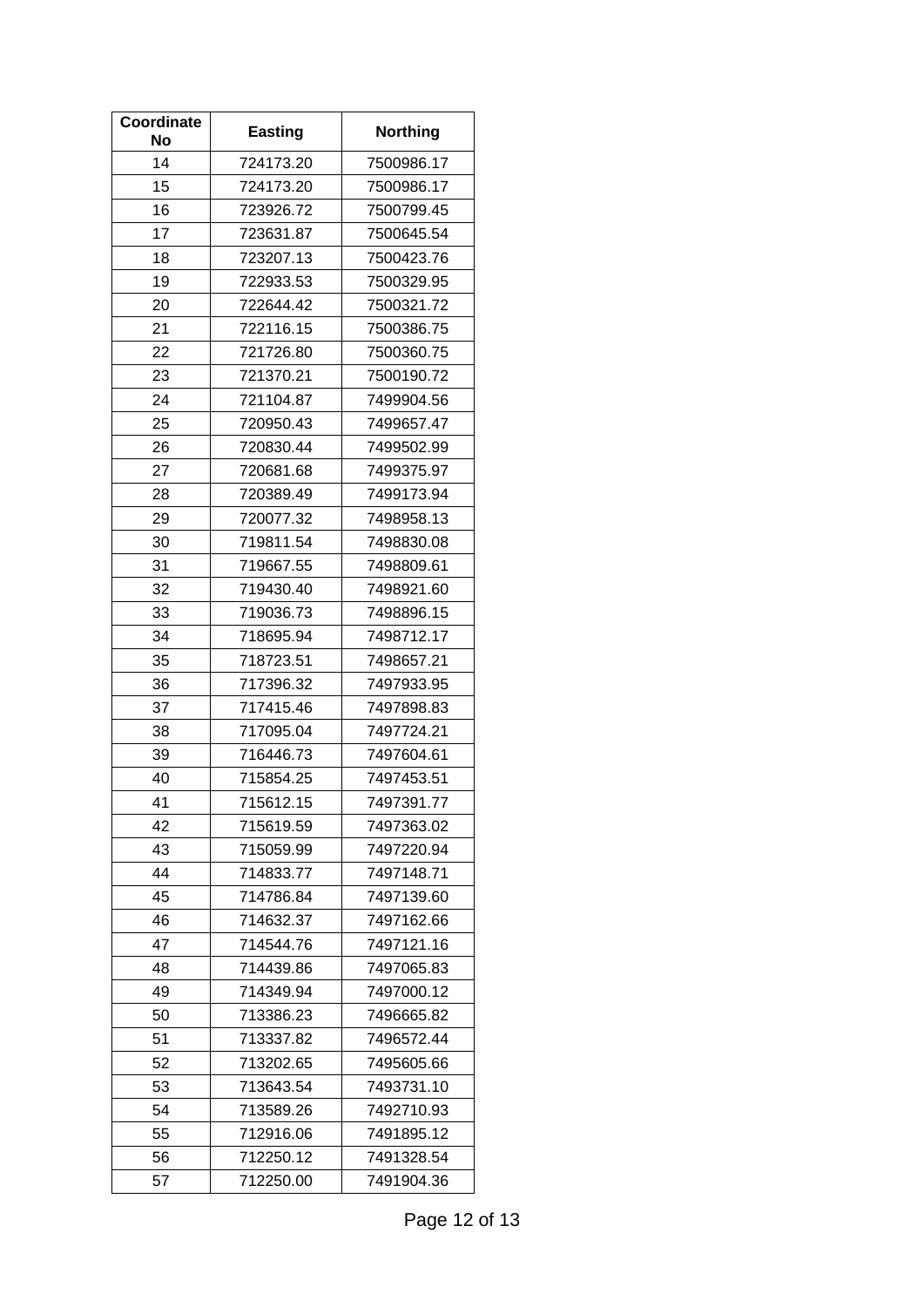| Coordinate<br>No | <b>Easting</b> | <b>Northing</b> |
|------------------|----------------|-----------------|
| 14               | 724173.20      | 7500986.17      |
| 15               | 724173.20      | 7500986.17      |
| 16               | 723926.72      | 7500799.45      |
| 17               | 723631.87      | 7500645.54      |
| 18               | 723207.13      | 7500423.76      |
| 19               | 722933.53      | 7500329.95      |
| 20               | 722644.42      | 7500321.72      |
| 21               | 722116.15      | 7500386.75      |
| 22               | 721726.80      | 7500360.75      |
| 23               | 721370.21      | 7500190.72      |
| 24               | 721104.87      | 7499904.56      |
| 25               | 720950.43      | 7499657.47      |
| 26               | 720830.44      | 7499502.99      |
| 27               | 720681.68      | 7499375.97      |
| 28               | 720389.49      | 7499173.94      |
| 29               | 720077.32      | 7498958.13      |
| 30               | 719811.54      | 7498830.08      |
| 31               | 719667.55      | 7498809.61      |
| 32               | 719430.40      | 7498921.60      |
| 33               | 719036.73      | 7498896.15      |
| 34               | 718695.94      | 7498712.17      |
| 35               | 718723.51      | 7498657.21      |
| 36               | 717396.32      | 7497933.95      |
| 37               | 717415.46      | 7497898.83      |
| 38               | 717095.04      | 7497724.21      |
| 39               | 716446.73      | 7497604.61      |
| 40               | 715854.25      | 7497453.51      |
| 41               | 715612.15      | 7497391.77      |
| 42               | 715619.59      | 7497363.02      |
| 43               | 715059.99      | 7497220.94      |
| 44               | 714833.77      | 7497148.71      |
| 45               | 714786.84      | 7497139.60      |
| 46               | 714632.37      | 7497162.66      |
| 47               | 714544.76      | 7497121.16      |
| 48               | 714439.86      | 7497065.83      |
| 49               | 714349.94      | 7497000.12      |
| 50               | 713386.23      | 7496665.82      |
| 51               | 713337.82      | 7496572.44      |
| 52               | 713202.65      | 7495605.66      |
| 53               | 713643.54      | 7493731.10      |
| 54               | 713589.26      | 7492710.93      |
| 55               | 712916.06      | 7491895.12      |
| 56               | 712250.12      | 7491328.54      |
| 57               | 712250.00      | 7491904.36      |